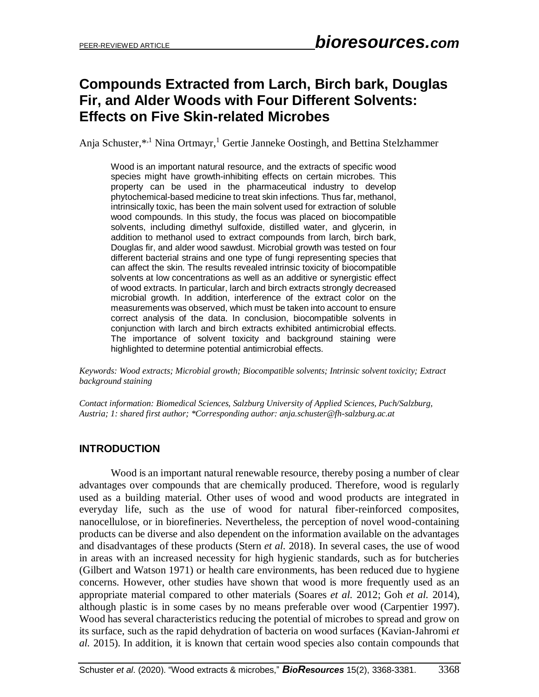# **Compounds Extracted from Larch, Birch bark, Douglas Fir, and Alder Woods with Four Different Solvents: Effects on Five Skin-related Microbes**

Anja Schuster,\*<sup>1</sup> Nina Ortmayr,<sup>1</sup> Gertie Janneke Oostingh, and Bettina Stelzhammer

Wood is an important natural resource, and the extracts of specific wood species might have growth-inhibiting effects on certain microbes. This property can be used in the pharmaceutical industry to develop phytochemical-based medicine to treat skin infections. Thus far, methanol, intrinsically toxic, has been the main solvent used for extraction of soluble wood compounds. In this study, the focus was placed on biocompatible solvents, including dimethyl sulfoxide, distilled water, and glycerin, in addition to methanol used to extract compounds from larch, birch bark, Douglas fir, and alder wood sawdust. Microbial growth was tested on four different bacterial strains and one type of fungi representing species that can affect the skin. The results revealed intrinsic toxicity of biocompatible solvents at low concentrations as well as an additive or synergistic effect of wood extracts. In particular, larch and birch extracts strongly decreased microbial growth. In addition, interference of the extract color on the measurements was observed, which must be taken into account to ensure correct analysis of the data. In conclusion, biocompatible solvents in conjunction with larch and birch extracts exhibited antimicrobial effects. The importance of solvent toxicity and background staining were highlighted to determine potential antimicrobial effects.

*Keywords: Wood extracts; Microbial growth; Biocompatible solvents; Intrinsic solvent toxicity; Extract background staining*

*Contact information: Biomedical Sciences, Salzburg University of Applied Sciences, Puch/Salzburg, Austria; 1: shared first author; \*Corresponding author: anja.schuster@fh-salzburg.ac.at*

# **INTRODUCTION**

Wood is an important natural renewable resource, thereby posing a number of clear advantages over compounds that are chemically produced. Therefore, wood is regularly used as a building material. Other uses of wood and wood products are integrated in everyday life, such as the use of wood for natural fiber-reinforced composites, nanocellulose, or in biorefineries. Nevertheless, the perception of novel wood-containing products can be diverse and also dependent on the information available on the advantages and disadvantages of these products (Stern *et al.* 2018). In several cases, the use of wood in areas with an increased necessity for high hygienic standards, such as for butcheries (Gilbert and Watson 1971) or health care environments, has been reduced due to hygiene concerns. However, other studies have shown that wood is more frequently used as an appropriate material compared to other materials (Soares *et al.* 2012; Goh *et al.* 2014), although plastic is in some cases by no means preferable over wood (Carpentier 1997). Wood has several characteristics reducing the potential of microbes to spread and grow on its surface, such as the rapid dehydration of bacteria on wood surfaces (Kavian-Jahromi *et al.* 2015). In addition, it is known that certain wood species also contain compounds that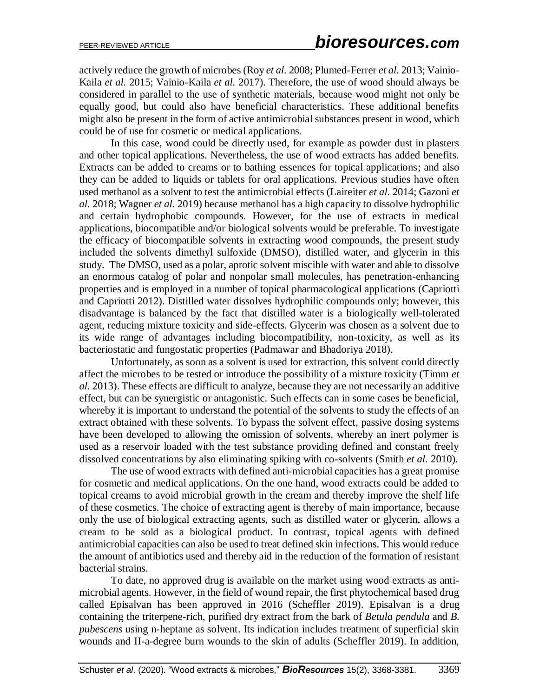actively reduce the growth of microbes (Roy *et al.* 2008; Plumed-Ferrer *et al.* 2013; Vainio-Kaila *et al.* 2015; Vainio-Kaila *et al.* 2017). Therefore, the use of wood should always be considered in parallel to the use of synthetic materials, because wood might not only be equally good, but could also have beneficial characteristics. These additional benefits might also be present in the form of active antimicrobial substances present in wood, which could be of use for cosmetic or medical applications.

In this case, wood could be directly used, for example as powder dust in plasters and other topical applications. Nevertheless, the use of wood extracts has added benefits. Extracts can be added to creams or to bathing essences for topical applications; and also they can be added to liquids or tablets for oral applications. Previous studies have often used methanol as a solvent to test the antimicrobial effects (Laireiter *et al.* 2014; Gazoni *et al.* 2018; Wagner *et al.* 2019) because methanol has a high capacity to dissolve hydrophilic and certain hydrophobic compounds. However, for the use of extracts in medical applications, biocompatible and/or biological solvents would be preferable. To investigate the efficacy of biocompatible solvents in extracting wood compounds, the present study included the solvents dimethyl sulfoxide (DMSO), distilled water, and glycerin in this study. The DMSO, used as a polar, aprotic solvent miscible with water and able to dissolve an enormous catalog of polar and nonpolar small molecules, has penetration-enhancing properties and is employed in a number of topical pharmacological applications (Capriotti and Capriotti 2012). Distilled water dissolves hydrophilic compounds only; however, this disadvantage is balanced by the fact that distilled water is a biologically well-tolerated agent, reducing mixture toxicity and side-effects. Glycerin was chosen as a solvent due to its wide range of advantages including biocompatibility, non-toxicity, as well as its bacteriostatic and fungostatic properties (Padmawar and Bhadoriya 2018).

Unfortunately, as soon as a solvent is used for extraction, this solvent could directly affect the microbes to be tested or introduce the possibility of a mixture toxicity (Timm *et al.* 2013). These effects are difficult to analyze, because they are not necessarily an additive effect, but can be synergistic or antagonistic. Such effects can in some cases be beneficial, whereby it is important to understand the potential of the solvents to study the effects of an extract obtained with these solvents. To bypass the solvent effect, passive dosing systems have been developed to allowing the omission of solvents, whereby an inert polymer is used as a reservoir loaded with the test substance providing defined and constant freely dissolved concentrations by also eliminating spiking with co-solvents (Smith *et al.* 2010).

The use of wood extracts with defined anti-microbial capacities has a great promise for cosmetic and medical applications. On the one hand, wood extracts could be added to topical creams to avoid microbial growth in the cream and thereby improve the shelf life of these cosmetics. The choice of extracting agent is thereby of main importance, because only the use of biological extracting agents, such as distilled water or glycerin, allows a cream to be sold as a biological product. In contrast, topical agents with defined antimicrobial capacities can also be used to treat defined skin infections. This would reduce the amount of antibiotics used and thereby aid in the reduction of the formation of resistant bacterial strains.

To date, no approved drug is available on the market using wood extracts as antimicrobial agents. However, in the field of wound repair, the first phytochemical based drug called Episalvan has been approved in 2016 (Scheffler 2019). Episalvan is a drug containing the triterpene-rich, purified dry extract from the bark of *Betula pendula* and *B. pubescens* using n-heptane as solvent. Its indication includes treatment of superficial skin wounds and II-a-degree burn wounds to the skin of adults (Scheffler 2019). In addition,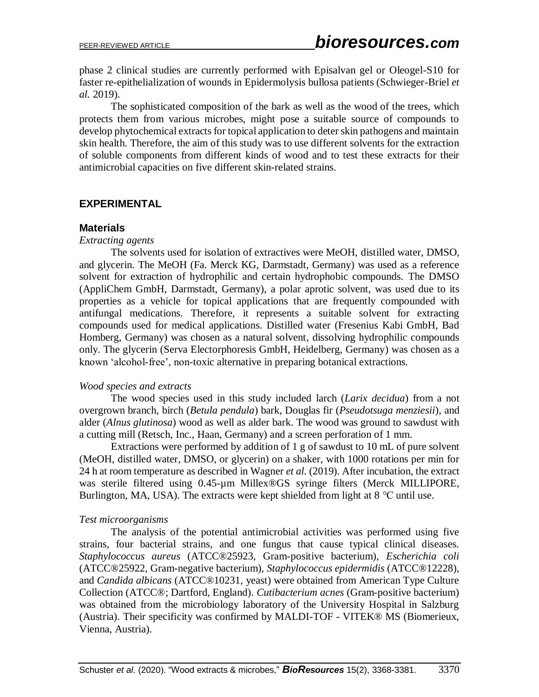phase 2 clinical studies are currently performed with Episalvan gel or Oleogel-S10 for faster re-epithelialization of wounds in Epidermolysis bullosa patients (Schwieger-Briel *et al.* 2019).

The sophisticated composition of the bark as well as the wood of the trees, which protects them from various microbes, might pose a suitable source of compounds to develop phytochemical extracts for topical application to deter skin pathogens and maintain skin health. Therefore, the aim of this study was to use different solvents for the extraction of soluble components from different kinds of wood and to test these extracts for their antimicrobial capacities on five different skin-related strains.

# **EXPERIMENTAL**

## **Materials**

#### *Extracting agents*

The solvents used for isolation of extractives were MeOH, distilled water, DMSO, and glycerin. The MeOH (Fa. Merck KG, Darmstadt, Germany) was used as a reference solvent for extraction of hydrophilic and certain hydrophobic compounds. The DMSO (AppliChem GmbH, Darmstadt, Germany), a polar aprotic solvent, was used due to its properties as a vehicle for topical applications that are frequently compounded with antifungal medications. Therefore, it represents a suitable solvent for extracting compounds used for medical applications. Distilled water (Fresenius Kabi GmbH, Bad Homberg, Germany) was chosen as a natural solvent, dissolving hydrophilic compounds only. The glycerin (Serva Electorphoresis GmbH, Heidelberg, Germany) was chosen as a known 'alcohol-free', non-toxic alternative in preparing botanical extractions.

#### *Wood species and extracts*

The wood species used in this study included larch (*Larix decidua*) from a not overgrown branch, birch (*Betula pendula*) bark, Douglas fir (*Pseudotsuga menziesii*), and alder (*Alnus glutinosa*) wood as well as alder bark. The wood was ground to sawdust with a cutting mill (Retsch, Inc., Haan, Germany) and a screen perforation of 1 mm.

Extractions were performed by addition of 1 g of sawdust to 10 mL of pure solvent (MeOH, distilled water, DMSO, or glycerin) on a shaker, with 1000 rotations per min for 24 h at room temperature as described in Wagner *et al.* (2019). After incubation, the extract was sterile filtered using 0.45-µm Millex®GS syringe filters (Merck MILLIPORE, Burlington, MA, USA). The extracts were kept shielded from light at 8 ℃ until use.

# *Test microorganisms*

The analysis of the potential antimicrobial activities was performed using five strains, four bacterial strains, and one fungus that cause typical clinical diseases. *Staphylococcus aureus* (ATCC®25923, Gram-positive bacterium), *Escherichia coli* (ATCC®25922, Gram-negative bacterium), *Staphylococcus epidermidis* (ATCC®12228), and *Candida albicans* (ATCC®10231, yeast) were obtained from American Type Culture Collection (ATCC®; Dartford, England). *Cutibacterium acnes* (Gram-positive bacterium) was obtained from the microbiology laboratory of the University Hospital in Salzburg (Austria). Their specificity was confirmed by MALDI-TOF - VITEK® MS (Biomerieux, Vienna, Austria).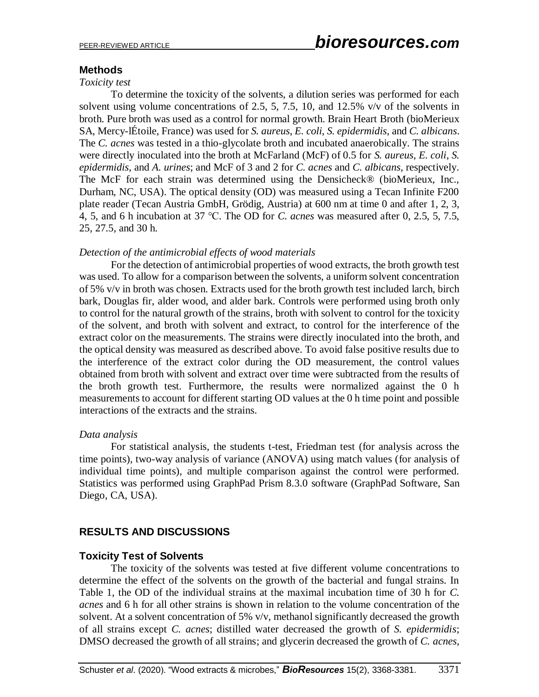## **Methods**

#### *Toxicity test*

To determine the toxicity of the solvents, a dilution series was performed for each solvent using volume concentrations of 2.5, 5, 7.5, 10, and 12.5% v/v of the solvents in broth. Pure broth was used as a control for normal growth. Brain Heart Broth (bioMerieux SA, Mercy-lÉtoile, France) was used for *S. aureus*, *E. coli*, *S. epidermidis*, and *C. albicans*. The *C. acnes* was tested in a thio-glycolate broth and incubated anaerobically. The strains were directly inoculated into the broth at McFarland (McF) of 0.5 for *S. aureus*, *E. coli*, *S. epidermidis*, and *A. urines*; and McF of 3 and 2 for *C. acnes* and *C. albicans*, respectively. The McF for each strain was determined using the Densicheck® (bioMerieux, Inc., Durham, NC, USA). The optical density (OD) was measured using a Tecan Infinite F200 plate reader (Tecan Austria GmbH, Grödig, Austria) at 600 nm at time 0 and after 1, 2, 3, 4, 5, and 6 h incubation at 37 ℃. The OD for *C. acnes* was measured after 0, 2.5, 5, 7.5, 25, 27.5, and 30 h.

#### *Detection of the antimicrobial effects of wood materials*

For the detection of antimicrobial properties of wood extracts, the broth growth test was used. To allow for a comparison between the solvents, a uniform solvent concentration of 5% v/v in broth was chosen. Extracts used for the broth growth test included larch, birch bark, Douglas fir, alder wood, and alder bark. Controls were performed using broth only to control for the natural growth of the strains, broth with solvent to control for the toxicity of the solvent, and broth with solvent and extract, to control for the interference of the extract color on the measurements. The strains were directly inoculated into the broth, and the optical density was measured as described above. To avoid false positive results due to the interference of the extract color during the OD measurement, the control values obtained from broth with solvent and extract over time were subtracted from the results of the broth growth test. Furthermore, the results were normalized against the 0 h measurements to account for different starting OD values at the 0 h time point and possible interactions of the extracts and the strains.

#### *Data analysis*

For statistical analysis, the students t-test, Friedman test (for analysis across the time points), two-way analysis of variance (ANOVA) using match values (for analysis of individual time points), and multiple comparison against the control were performed. Statistics was performed using GraphPad Prism 8.3.0 software (GraphPad Software, San Diego, CA, USA).

# **RESULTS AND DISCUSSIONS**

#### **Toxicity Test of Solvents**

The toxicity of the solvents was tested at five different volume concentrations to determine the effect of the solvents on the growth of the bacterial and fungal strains. In Table 1, the OD of the individual strains at the maximal incubation time of 30 h for *C. acnes* and 6 h for all other strains is shown in relation to the volume concentration of the solvent. At a solvent concentration of 5% v/v, methanol significantly decreased the growth of all strains except *C. acnes*; distilled water decreased the growth of *S. epidermidis*; DMSO decreased the growth of all strains; and glycerin decreased the growth of *C. acnes*,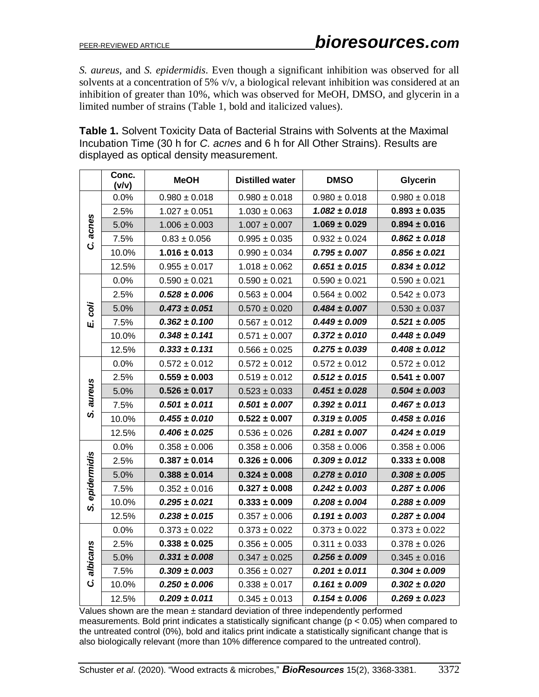*S. aureus,* and *S. epidermidis*. Even though a significant inhibition was observed for all solvents at a concentration of 5% v/v, a biological relevant inhibition was considered at an inhibition of greater than 10%, which was observed for MeOH, DMSO, and glycerin in a limited number of strains (Table 1, bold and italicized values).

**Table 1.** Solvent Toxicity Data of Bacterial Strains with Solvents at the Maximal Incubation Time (30 h for *C. acnes* and 6 h for All Other Strains). Results are displayed as optical density measurement.

|             | Conc.<br>(v/v) | <b>MeOH</b>       | <b>Distilled water</b> | <b>DMSO</b>       | <b>Glycerin</b>   |  |
|-------------|----------------|-------------------|------------------------|-------------------|-------------------|--|
| acnes<br>ن  | 0.0%           | $0.980 \pm 0.018$ | $0.980 \pm 0.018$      | $0.980 \pm 0.018$ | $0.980 \pm 0.018$ |  |
|             | 2.5%           | $1.027 \pm 0.051$ | $1.030 \pm 0.063$      | $1.082 \pm 0.018$ | $0.893 \pm 0.035$ |  |
|             | 5.0%           | $1.006 \pm 0.003$ | $1.007 \pm 0.007$      | $1.069 \pm 0.029$ | $0.894 \pm 0.016$ |  |
|             | 7.5%           | $0.83 \pm 0.056$  | $0.995 \pm 0.035$      | $0.932 \pm 0.024$ | $0.862 \pm 0.018$ |  |
|             | 10.0%          | $1.016 \pm 0.013$ | $0.990 \pm 0.034$      | $0.795 \pm 0.007$ | $0.856 \pm 0.021$ |  |
|             | 12.5%          | $0.955 \pm 0.017$ | $1.018 \pm 0.062$      | $0.651 \pm 0.015$ | $0.834 \pm 0.012$ |  |
|             | 0.0%           | $0.590 \pm 0.021$ | $0.590 \pm 0.021$      | $0.590 \pm 0.021$ | $0.590 \pm 0.021$ |  |
|             | 2.5%           | $0.528 \pm 0.006$ | $0.563 \pm 0.004$      | $0.564 \pm 0.002$ | $0.542 \pm 0.073$ |  |
| coli        | 5.0%           | $0.473 \pm 0.051$ | $0.570 \pm 0.020$      | $0.484 \pm 0.007$ | $0.530 \pm 0.037$ |  |
| Щj          | 7.5%           | $0.362 \pm 0.100$ | $0.567 \pm 0.012$      | $0.449 \pm 0.009$ | $0.521 \pm 0.005$ |  |
|             | 10.0%          | $0.348 \pm 0.141$ | $0.571 \pm 0.007$      | $0.372 \pm 0.010$ | $0.448 \pm 0.049$ |  |
|             | 12.5%          | $0.333 \pm 0.131$ | $0.566 \pm 0.025$      | $0.275 \pm 0.039$ | $0.408 \pm 0.012$ |  |
|             | 0.0%           | $0.572 \pm 0.012$ | $0.572 \pm 0.012$      | $0.572 \pm 0.012$ | $0.572 \pm 0.012$ |  |
|             | 2.5%           | $0.559 \pm 0.003$ | $0.519 \pm 0.012$      | $0.512 \pm 0.015$ | $0.541 \pm 0.007$ |  |
| aureus      | 5.0%           | $0.526 \pm 0.017$ | $0.523 \pm 0.033$      | $0.451 \pm 0.028$ | $0.504 \pm 0.003$ |  |
|             | 7.5%           | $0.501 \pm 0.011$ | $0.501 \pm 0.007$      | $0.392 \pm 0.011$ | $0.467 \pm 0.013$ |  |
| ທ່          | 10.0%          | $0.455 \pm 0.010$ | $0.522 \pm 0.007$      | $0.319 \pm 0.005$ | $0.458 \pm 0.016$ |  |
|             | 12.5%          | $0.406 \pm 0.025$ | $0.536 \pm 0.026$      | $0.281 \pm 0.007$ | $0.424 \pm 0.019$ |  |
|             | 0.0%           | $0.358 \pm 0.006$ | $0.358 \pm 0.006$      | $0.358 \pm 0.006$ | $0.358 \pm 0.006$ |  |
|             | 2.5%           | $0.387 \pm 0.014$ | $0.326 \pm 0.006$      | $0.309 \pm 0.012$ | $0.333 \pm 0.008$ |  |
| epidermidis | 5.0%           | $0.388 \pm 0.014$ | $0.324 \pm 0.008$      | $0.278 \pm 0.010$ | $0.308 \pm 0.005$ |  |
|             | 7.5%           | $0.352 \pm 0.016$ | $0.327 \pm 0.008$      | $0.242 \pm 0.003$ | $0.287 \pm 0.006$ |  |
| ທ່          | 10.0%          | $0.295 \pm 0.021$ | $0.333 \pm 0.009$      | $0.208 \pm 0.004$ | $0.288 \pm 0.009$ |  |
|             | 12.5%          | $0.238 \pm 0.015$ | $0.357 \pm 0.006$      | $0.191 \pm 0.003$ | $0.287 \pm 0.004$ |  |
|             | 0.0%           | $0.373 \pm 0.022$ | $0.373 \pm 0.022$      | $0.373 \pm 0.022$ | $0.373 \pm 0.022$ |  |
|             | 2.5%           | $0.338 \pm 0.025$ | $0.356 \pm 0.005$      | $0.311 \pm 0.033$ | $0.378 \pm 0.026$ |  |
| albicans    | 5.0%           | $0.331 \pm 0.008$ | $0.347 \pm 0.025$      | $0.256 \pm 0.009$ | $0.345 \pm 0.016$ |  |
|             | 7.5%           | $0.309 \pm 0.003$ | $0.356 \pm 0.027$      | $0.201 \pm 0.011$ | $0.304 \pm 0.009$ |  |
| ن.          | 10.0%          | $0.250 \pm 0.006$ | $0.338 \pm 0.017$      | $0.161 \pm 0.009$ | $0.302 \pm 0.020$ |  |
|             | 12.5%          | $0.209 \pm 0.011$ | $0.345 \pm 0.013$      | $0.154 \pm 0.006$ | $0.269 \pm 0.023$ |  |

Values shown are the mean  $\pm$  standard deviation of three independently performed measurements. Bold print indicates a statistically significant change ( $p < 0.05$ ) when compared to the untreated control (0%), bold and italics print indicate a statistically significant change that is also biologically relevant (more than 10% difference compared to the untreated control).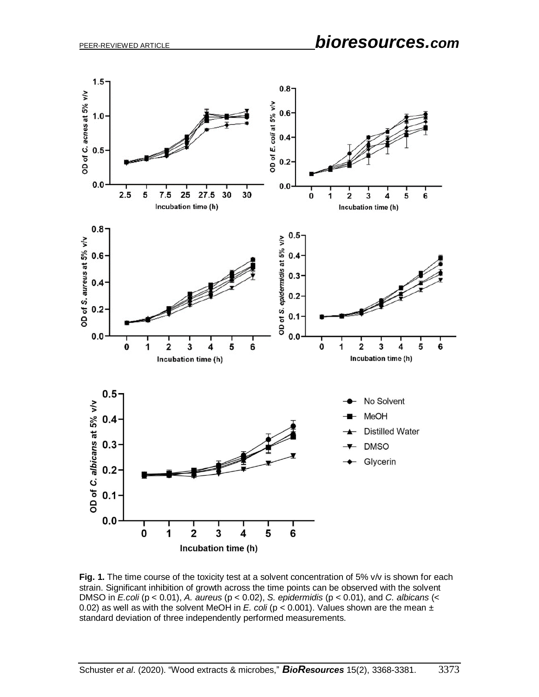

**Fig. 1.** The time course of the toxicity test at a solvent concentration of 5% v/v is shown for each strain. Significant inhibition of growth across the time points can be observed with the solvent DMSO in *E.coli* (p < 0.01), *A. aureus* (p < 0.02), *S. epidermidis* (p < 0.01), and *C. albicans* (< 0.02) as well as with the solvent MeOH in *E. coli* ( $p < 0.001$ ). Values shown are the mean  $\pm$ standard deviation of three independently performed measurements.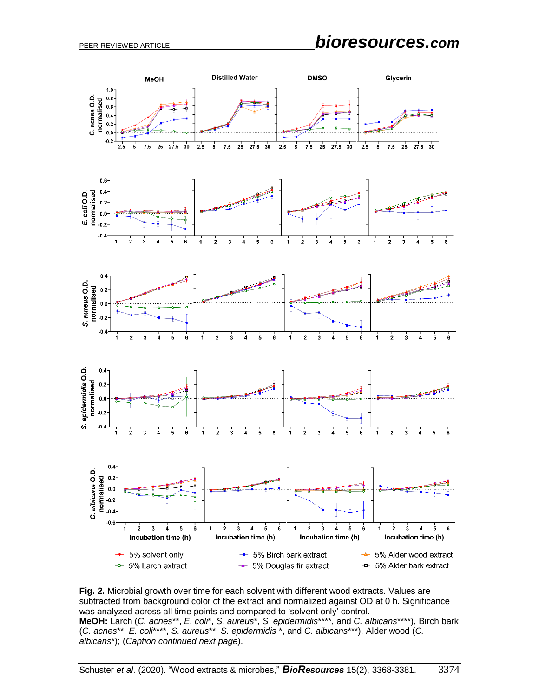PEER-REVIEWED ARTICLE *bioresources.com*



**Fig. 2.** Microbial growth over time for each solvent with different wood extracts. Values are subtracted from background color of the extract and normalized against OD at 0 h. Significance was analyzed across all time points and compared to 'solvent only' control. **MeOH:** Larch (*C. acnes*\*\*, *E. coli*\*, *S. aureus*\*, *S. epidermidis*\*\*\*\*, and *C. albicans*\*\*\*\*), Birch bark (*C. acnes*\*\*, *E. coli*\*\*\*\*, *S. aureus*\*\*, *S. epidermidis* \*, and *C. albicans*\*\*\*), Alder wood (*C. albicans*\*); (*Caption continued next page*).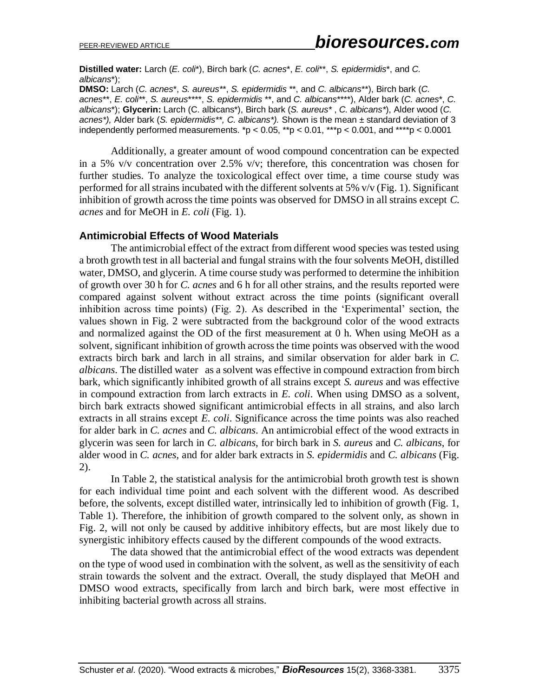**Distilled water:** Larch (*E. coli*\*), Birch bark (*C. acnes*\*, *E. coli*\*\*, *S. epidermidis*\*, and *C. albicans*\*);

**DMSO:** Larch (*C. acnes*\*, *S. aureus\**\*, *S. epidermidis* \*\*, and *C. albicans*\*\*), Birch bark (*C. acnes*\*\*, *E. coli\**\*, *S. aureus*\*\*\*\*, *S. epidermidis* \*\*, and *C. albicans*\*\*\*\*), Alder bark (*C. acnes*\*, *C. albicans*\*); **Glycerin:** Larch (C. albicans\*), Birch bark (*S. aureus\** , *C. albicans\**), Alder wood (*C. acnes\*),* Alder bark (*S. epidermidis\*\*, C. albicans\*).* Shown is the mean ± standard deviation of 3 independently performed measurements.  $p < 0.05$ ,  $p > 0.01$ ,  $p > 0.001$ , and  $p > 0.0001$ 

Additionally, a greater amount of wood compound concentration can be expected in a 5% v/v concentration over 2.5% v/v; therefore, this concentration was chosen for further studies. To analyze the toxicological effect over time, a time course study was performed for all strains incubated with the different solvents at 5% v/v (Fig. 1). Significant inhibition of growth across the time points was observed for DMSO in all strains except *C. acnes* and for MeOH in *E. coli* (Fig. 1).

## **Antimicrobial Effects of Wood Materials**

The antimicrobial effect of the extract from different wood species was tested using a broth growth test in all bacterial and fungal strains with the four solvents MeOH, distilled water, DMSO, and glycerin. A time course study was performed to determine the inhibition of growth over 30 h for *C. acnes* and 6 h for all other strains, and the results reported were compared against solvent without extract across the time points (significant overall inhibition across time points) (Fig. 2). As described in the 'Experimental' section, the values shown in Fig. 2 were subtracted from the background color of the wood extracts and normalized against the OD of the first measurement at 0 h. When using MeOH as a solvent, significant inhibition of growth across the time points was observed with the wood extracts birch bark and larch in all strains, and similar observation for alder bark in *C. albicans*. The distilled water as a solvent was effective in compound extraction from birch bark, which significantly inhibited growth of all strains except *S. aureus* and was effective in compound extraction from larch extracts in *E. coli*. When using DMSO as a solvent, birch bark extracts showed significant antimicrobial effects in all strains, and also larch extracts in all strains except *E. coli*. Significance across the time points was also reached for alder bark in *C. acnes* and *C. albicans*. An antimicrobial effect of the wood extracts in glycerin was seen for larch in *C. albicans*, for birch bark in *S. aureus* and *C. albicans*, for alder wood in *C. acnes,* and for alder bark extracts in *S. epidermidis* and *C. albicans* (Fig. 2).

In Table 2, the statistical analysis for the antimicrobial broth growth test is shown for each individual time point and each solvent with the different wood. As described before, the solvents, except distilled water, intrinsically led to inhibition of growth (Fig. 1, Table 1). Therefore, the inhibition of growth compared to the solvent only, as shown in Fig. 2, will not only be caused by additive inhibitory effects, but are most likely due to synergistic inhibitory effects caused by the different compounds of the wood extracts.

The data showed that the antimicrobial effect of the wood extracts was dependent on the type of wood used in combination with the solvent, as well as the sensitivity of each strain towards the solvent and the extract. Overall, the study displayed that MeOH and DMSO wood extracts, specifically from larch and birch bark, were most effective in inhibiting bacterial growth across all strains.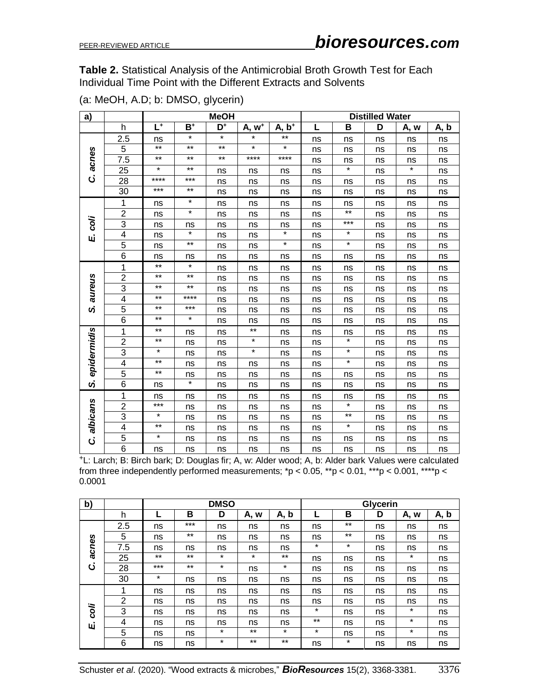**Table 2.** Statistical Analysis of the Antimicrobial Broth Growth Test for Each Individual Time Point with the Different Extracts and Solvents

| a)                  |                         | <b>MeOH</b> |          |                           |                   |                   | <b>Distilled Water</b> |         |                         |         |      |
|---------------------|-------------------------|-------------|----------|---------------------------|-------------------|-------------------|------------------------|---------|-------------------------|---------|------|
|                     | h                       | $L^+$       | $B^+$    | $\overline{\mathsf{D}^*}$ | A, w <sup>+</sup> | A, b <sup>+</sup> |                        | B       | $\overline{\mathsf{D}}$ | A, w    | A, b |
|                     | 2.5                     | ns          | *        | $\star$                   | *                 | **                | ns                     | ns      | ns                      | ns      | ns   |
|                     | 5                       | $***$       | $***$    | $***$                     | $\star$           | $\star$           | ns                     | ns      | ns                      | ns      | ns   |
| acnes               | 7.5                     | $***$       | $***$    | $***$                     | $***$             | ****              | ns                     | ns      | ns                      | ns      | ns   |
|                     | 25                      | $\star$     | $***$    | ns                        | ns                | ns                | ns                     | $\star$ | ns                      | $\star$ | ns   |
| $\ddot{\mathbf{c}}$ | 28                      | ****        | ***      | ns                        | ns                | ns                | ns                     | ns      | ns                      | ns      | ns   |
|                     | 30                      | ***         | $***$    | ns                        | ns                | ns                | ns                     | ns      | ns                      | ns      | ns   |
|                     | 1                       | ns          | *        | ns                        | ns                | ns                | ns                     | ns      | ns                      | ns      | ns   |
|                     | $\overline{2}$          | ns          | $^\star$ | ns                        | ns                | ns                | ns                     | $***$   | ns                      | ns      | ns   |
| coli                | 3                       | ns          | ns       | ns                        | ns                | ns                | ns                     | ***     | ns                      | ns      | ns   |
| цi                  | $\overline{\mathbf{4}}$ | ns          | $\star$  | ns                        | ns                | $\star$           | ns                     | $\star$ | ns                      | ns      | ns   |
|                     | 5                       | ns          | $***$    | ns                        | ns                | $\star$           | ns                     | $\star$ | ns                      | ns      | ns   |
|                     | 6                       | ns          | ns       | ns                        | ns                | ns                | ns                     | ns      | ns                      | ns      | ns   |
|                     | 1                       | $***$       | $\star$  | ns                        | ns                | ns                | ns                     | ns      | ns                      | ns      | ns   |
| aureus              | $\overline{2}$          | $***$       | $***$    | ns                        | ns                | ns                | ns                     | ns      | ns                      | ns      | ns   |
|                     | 3                       | $***$       | $***$    | ns                        | ns                | ns                | ns                     | ns      | ns                      | ns      | ns   |
|                     | $\overline{4}$          | $***$       | ****     | ns                        | ns                | ns                | ns                     | ns      | ns                      | ns      | ns   |
| ပ                   | 5                       | $***$       | $***$    | ns                        | ns                | ns                | ns                     | ns      | ns                      | ns      | ns   |
|                     | $\overline{6}$          | $***$       | $\star$  | ns                        | ns                | ns                | ns                     | ns      | ns                      | ns      | ns   |
|                     | 1                       | $***$       | ns       | ns                        | $***$             | ns                | ns                     | ns      | ns                      | ns      | ns   |
|                     | $\overline{2}$          | $***$       | ns       | ns                        | $\star$           | ns                | ns                     | $\star$ | ns                      | ns      | ns   |
| epidermidis         | 3                       | *           | ns       | ns                        | $\star$           | ns                | ns                     | $\star$ | ns                      | ns      | ns   |
|                     | $\overline{\mathbf{4}}$ | $***$       | ns       | ns                        | ns                | ns                | ns                     | $\star$ | ns                      | ns      | ns   |
|                     | 5                       | $***$       | ns       | ns                        | ns                | ns                | ns                     | ns      | ns                      | ns      | ns   |
| ၯ                   | 6                       | ns          | $\star$  | ns                        | ns                | ns                | ns                     | ns      | ns                      | ns      | ns   |
|                     | 1                       | ns          | ns       | ns                        | ns                | ns                | ns                     | ns      | ns                      | ns      | ns   |
|                     | $\overline{c}$          | ***         | ns       | ns                        | ns                | ns                | ns                     | $\star$ | ns                      | ns      | ns   |
| albicans            | 3                       | $\star$     | ns       | ns                        | ns                | ns                | ns                     | $***$   | ns                      | ns      | ns   |
|                     | $\overline{\mathbf{4}}$ | $***$       | ns       | ns                        | ns                | ns                | ns                     | $\star$ | ns                      | ns      | ns   |
| $\ddot{\mathbf{c}}$ | 5                       | *           | ns       | ns                        | ns                | ns                | ns                     | ns      | ns                      | ns      | ns   |
|                     | $\overline{6}$          | ns          | ns       | ns                        | ns                | ns                | ns                     | ns      | ns                      | ns      | ns   |

(a: MeOH, A.D; b: DMSO, glycerin)

<sup>+</sup>L: Larch; B: Birch bark; D: Douglas fir; A, w: Alder wood; A, b: Alder bark Values were calculated from three independently performed measurements;  $^{\star}p < 0.05$ ,  $^{**}p < 0.01$ ,  $^{***}p < 0.001$ ,  $^{***}p <$ 0.0001

| b)    |     | <b>DMSO</b> |       |         |         |         | <b>Glycerin</b> |         |    |         |      |
|-------|-----|-------------|-------|---------|---------|---------|-----------------|---------|----|---------|------|
|       | h   |             | в     | D       | A, w    | A, b    |                 | в       | D  | A, w    | A, b |
|       | 2.5 | ns          | $***$ | ns      | ns      | ns      | ns              | $***$   | ns | ns      | ns   |
|       | 5   | ns          | $***$ | ns      | ns      | ns      | ns              | $***$   | ns | ns      | ns   |
| acnes | 7.5 | ns          | ns    | ns      | ns      | ns      | $\star$         | $\star$ | ns | ns      | ns   |
|       | 25  | $***$       | $***$ | $\star$ | $\star$ | $***$   | ns              | ns      | ns | $\star$ | ns   |
| ن     | 28  | $***$       | $***$ | $\star$ | ns      | $\star$ | ns              | ns      | ns | ns      | ns   |
|       | 30  | $\star$     | ns    | ns      | ns      | ns      | ns              | ns      | ns | ns      | ns   |
|       | 1   | ns          | ns    | ns      | ns      | ns      | ns              | ns      | ns | ns      | ns   |
|       | 2   | ns          | ns    | ns      | ns      | ns      | ns              | ns      | ns | ns      | ns   |
| coli  | 3   | ns          | ns    | ns      | ns      | ns      | $\star$         | ns      | ns | $\star$ | ns   |
| Щj    | 4   | ns          | ns    | ns      | ns      | ns      | $***$           | ns      | ns | $\star$ | ns   |
|       | 5   | ns          | ns    | $\star$ | $***$   | $\star$ | $\star$         | ns      | ns | $\star$ | ns   |
|       | 6   | ns          | ns    | $\star$ | $***$   | $***$   | ns              | $\star$ | ns | ns      | ns   |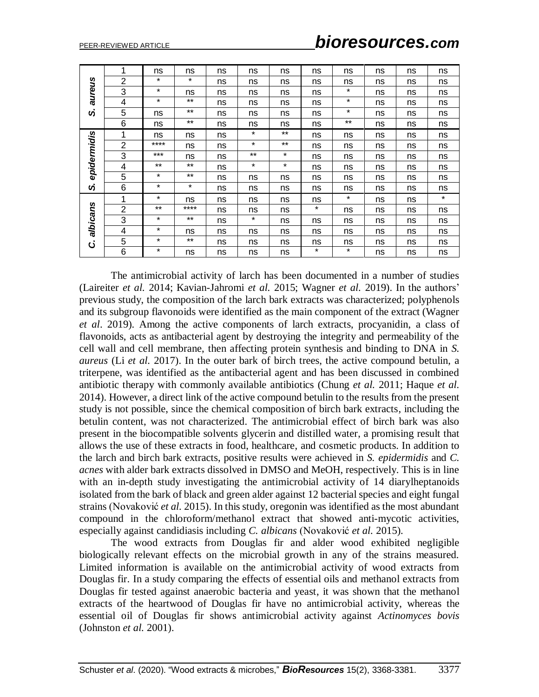| aureus        | 1              | ns       | ns      | ns | ns      | ns      | ns      | ns      | ns | ns | ns      |
|---------------|----------------|----------|---------|----|---------|---------|---------|---------|----|----|---------|
|               | $\overline{2}$ | $\star$  | $\star$ | ns | ns      | ns      | ns      | ns      | ns | ns | ns      |
|               | 3              | $\star$  | ns      | ns | ns      | ns      | ns      | $\star$ | ns | ns | ns      |
|               | 4              | $\star$  | $***$   | ns | ns      | ns      | ns      | $\star$ | ns | ns | ns      |
| ら             | 5              | ns       | $***$   | ns | ns      | ns      | ns      | *       | ns | ns | ns      |
|               | 6              | ns       | $***$   | ns | ns      | ns      | ns      | $***$   | ns | ns | ns      |
|               | 1              | ns       | ns      | ns | $\star$ | $***$   | ns      | ns      | ns | ns | ns      |
|               | $\overline{2}$ | $***$ ** | ns      | ns | $\star$ | $***$   | ns      | ns      | ns | ns | ns      |
| epidermidis   | 3              | $***$    | ns      | ns | $***$   | $\star$ | ns      | ns      | ns | ns | ns      |
|               | 4              | $***$    | $***$   | ns | $\star$ | $\star$ | ns      | ns      | ns | ns | ns      |
|               | 5              | $\star$  | $***$   | ns | ns      | ns      | ns      | ns      | ns | ns | ns      |
| ら             | 6              | $\star$  | $\star$ | ns | ns      | ns      | ns      | ns      | ns | ns | ns      |
|               | 1              | $\star$  | ns      | ns | ns      | ns      | ns      | $\star$ | ns | ns | $\star$ |
|               | $\overline{2}$ | $***$    | ****    | ns | ns      | ns      | $\star$ | ns      | ns | ns | ns      |
| albicans<br>ن | 3              | $\star$  | $***$   | ns | $\star$ | ns      | ns      | ns      | ns | ns | ns      |
|               | 4              | $\star$  | ns      | ns | ns      | ns      | ns      | ns      | ns | ns | ns      |
|               | 5              | $\star$  | $***$   | ns | ns      | ns      | ns      | ns      | ns | ns | ns      |
|               | 6              | $\star$  | ns      | ns | ns      | ns      | $\star$ | $\star$ | ns | ns | ns      |

**Example 12 Example 12 Example 12 Example 12 Example 12 Example 12 Example 12 Example 12 Example 12 Example 12 Example 12 Example 12 Example 12 Example 12 Example 12 Example 12 Example 12** The antimicrobial activity of larch has been documented in a number of studies (Laireiter *et al.* 2014; Kavian-Jahromi *et al.* 2015; Wagner *et al.* 2019). In the authors' previous study, the composition of the larch bark extracts was characterized; polyphenols and its subgroup flavonoids were identified as the main component of the extract (Wagner *et al*. 2019). Among the active components of larch extracts, procyanidin, a class of flavonoids, acts as antibacterial agent by destroying the integrity and permeability of the cell wall and cell membrane, then affecting protein synthesis and binding to DNA in *S. aureus* (Li *et al.* 2017). In the outer bark of birch trees, the active compound betulin, a triterpene, was identified as the antibacterial agent and has been discussed in combined antibiotic therapy with commonly available antibiotics (Chung *et al.* 2011; Haque *et al.* 2014). However, a direct link of the active compound betulin to the results from the present study is not possible, since the chemical composition of birch bark extracts, including the betulin content, was not characterized. The antimicrobial effect of birch bark was also present in the biocompatible solvents glycerin and distilled water, a promising result that allows the use of these extracts in food, healthcare, and cosmetic products. In addition to the larch and birch bark extracts, positive results were achieved in *S. epidermidis* and *C. acnes* with alder bark extracts dissolved in DMSO and MeOH, respectively. This is in line with an in-depth study investigating the antimicrobial activity of 14 diarylheptanoids isolated from the bark of black and green alder against 12 bacterial species and eight fungal strains (Novaković *et al.* 2015). In this study, oregonin was identified as the most abundant compound in the chloroform/methanol extract that showed anti-mycotic activities, especially against candidiasis including *C. albicans* (Novaković *et al.* 2015).

The wood extracts from Douglas fir and alder wood exhibited negligible biologically relevant effects on the microbial growth in any of the strains measured. Limited information is available on the antimicrobial activity of wood extracts from Douglas fir. In a study comparing the effects of essential oils and methanol extracts from Douglas fir tested against anaerobic bacteria and yeast, it was shown that the methanol extracts of the heartwood of Douglas fir have no antimicrobial activity, whereas the essential oil of Douglas fir shows antimicrobial activity against *Actinomyces bovis*  (Johnston *et al.* 2001).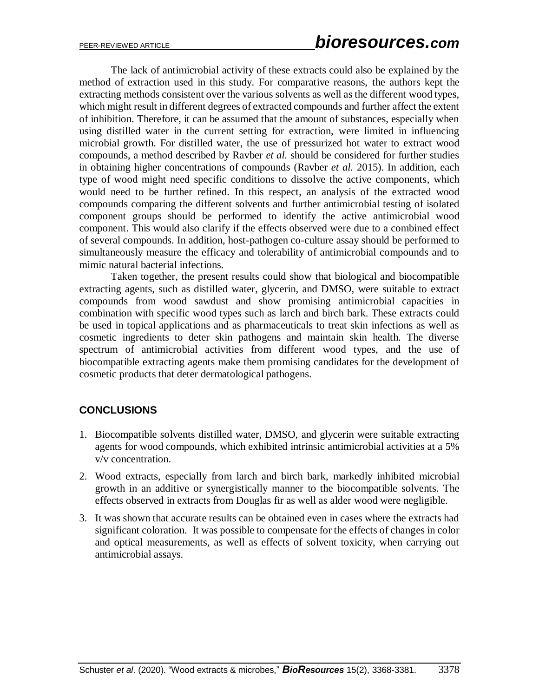The lack of antimicrobial activity of these extracts could also be explained by the method of extraction used in this study. For comparative reasons, the authors kept the extracting methods consistent over the various solvents as well as the different wood types, which might result in different degrees of extracted compounds and further affect the extent of inhibition. Therefore, it can be assumed that the amount of substances, especially when using distilled water in the current setting for extraction, were limited in influencing microbial growth. For distilled water, the use of pressurized hot water to extract wood compounds, a method described by Ravber *et al.* should be considered for further studies in obtaining higher concentrations of compounds (Ravber *et al.* 2015). In addition, each type of wood might need specific conditions to dissolve the active components, which would need to be further refined. In this respect, an analysis of the extracted wood compounds comparing the different solvents and further antimicrobial testing of isolated component groups should be performed to identify the active antimicrobial wood component. This would also clarify if the effects observed were due to a combined effect of several compounds. In addition, host-pathogen co-culture assay should be performed to simultaneously measure the efficacy and tolerability of antimicrobial compounds and to mimic natural bacterial infections.

Taken together, the present results could show that biological and biocompatible extracting agents, such as distilled water, glycerin, and DMSO, were suitable to extract compounds from wood sawdust and show promising antimicrobial capacities in combination with specific wood types such as larch and birch bark. These extracts could be used in topical applications and as pharmaceuticals to treat skin infections as well as cosmetic ingredients to deter skin pathogens and maintain skin health. The diverse spectrum of antimicrobial activities from different wood types, and the use of biocompatible extracting agents make them promising candidates for the development of cosmetic products that deter dermatological pathogens.

# **CONCLUSIONS**

- 1. Biocompatible solvents distilled water, DMSO, and glycerin were suitable extracting agents for wood compounds, which exhibited intrinsic antimicrobial activities at a 5% v/v concentration.
- 2. Wood extracts, especially from larch and birch bark, markedly inhibited microbial growth in an additive or synergistically manner to the biocompatible solvents. The effects observed in extracts from Douglas fir as well as alder wood were negligible.
- 3. It was shown that accurate results can be obtained even in cases where the extracts had significant coloration. It was possible to compensate for the effects of changes in color and optical measurements, as well as effects of solvent toxicity, when carrying out antimicrobial assays.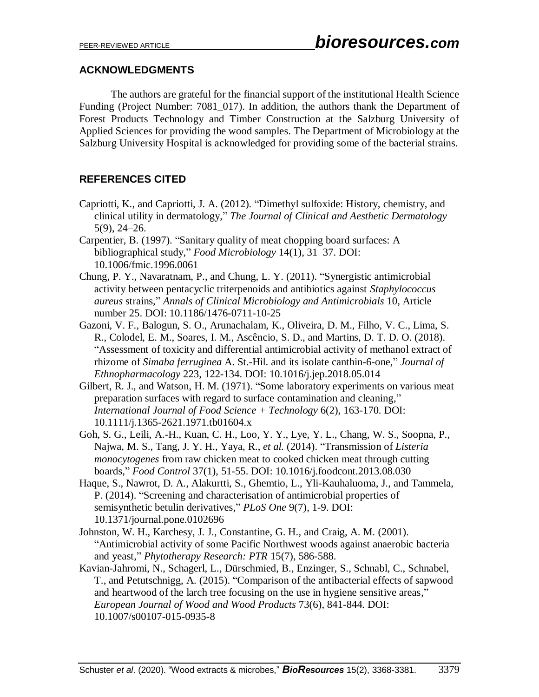# **ACKNOWLEDGMENTS**

The authors are grateful for the financial support of the institutional Health Science Funding (Project Number: 7081\_017). In addition, the authors thank the Department of Forest Products Technology and Timber Construction at the Salzburg University of Applied Sciences for providing the wood samples. The Department of Microbiology at the Salzburg University Hospital is acknowledged for providing some of the bacterial strains.

# **REFERENCES CITED**

- Capriotti, K., and Capriotti, J. A. (2012). "Dimethyl sulfoxide: History, chemistry, and clinical utility in dermatology," *The Journal of Clinical and Aesthetic Dermatology* 5(9), 24–26.
- Carpentier, B. (1997). "Sanitary quality of meat chopping board surfaces: A bibliographical study," *Food Microbiology* 14(1), 31–37. DOI: 10.1006/fmic.1996.0061
- Chung, P. Y., Navaratnam, P., and Chung, L. Y. (2011). "Synergistic antimicrobial activity between pentacyclic triterpenoids and antibiotics against *Staphylococcus aureus* strains," *Annals of Clinical Microbiology and Antimicrobials* 10, Article number 25. DOI: 10.1186/1476-0711-10-25
- Gazoni, V. F., Balogun, S. O., Arunachalam, K., Oliveira, D. M., Filho, V. C., Lima, S. R., Colodel, E. M., Soares, I. M., Ascêncio, S. D., and Martins, D. T. D. O. (2018). "Assessment of toxicity and differential antimicrobial activity of methanol extract of rhizome of *Simaba ferruginea* A. St.-Hil. and its isolate canthin-6-one," *Journal of Ethnopharmacology* 223, 122-134. DOI: 10.1016/j.jep.2018.05.014
- Gilbert, R. J., and Watson, H. M. (1971). "Some laboratory experiments on various meat preparation surfaces with regard to surface contamination and cleaning," *International Journal of Food Science + Technology* 6(2), 163-170. DOI: 10.1111/j.1365-2621.1971.tb01604.x
- Goh, S. G., Leili, A.-H., Kuan, C. H., Loo, Y. Y., Lye, Y. L., Chang, W. S., Soopna, P., Najwa, M. S., Tang, J. Y. H., Yaya, R., *et al.* (2014). "Transmission of *Listeria monocytogenes* from raw chicken meat to cooked chicken meat through cutting boards," *Food Control* 37(1), 51-55. DOI: 10.1016/j.foodcont.2013.08.030
- Haque, S., Nawrot, D. A., Alakurtti, S., Ghemtio, L., Yli-Kauhaluoma, J., and Tammela, P. (2014). "Screening and characterisation of antimicrobial properties of semisynthetic betulin derivatives," *PLoS One* 9(7), 1-9. DOI: 10.1371/journal.pone.0102696
- Johnston, W. H., Karchesy, J. J., Constantine, G. H., and Craig, A. M. (2001). "Antimicrobial activity of some Pacific Northwest woods against anaerobic bacteria and yeast," *Phytotherapy Research: PTR* 15(7), 586-588.
- Kavian-Jahromi, N., Schagerl, L., Dürschmied, B., Enzinger, S., Schnabl, C., Schnabel, T., and Petutschnigg, A. (2015). "Comparison of the antibacterial effects of sapwood and heartwood of the larch tree focusing on the use in hygiene sensitive areas," *European Journal of Wood and Wood Products* 73(6), 841-844. DOI: 10.1007/s00107-015-0935-8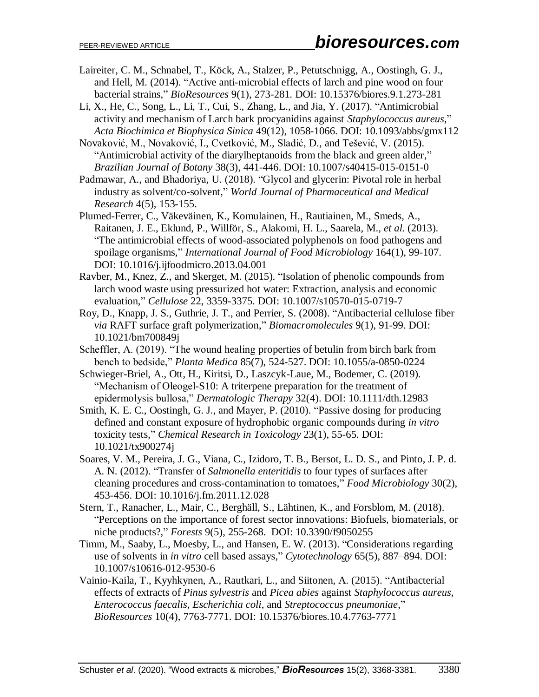- Laireiter, C. M., Schnabel, T., Köck, A., Stalzer, P., Petutschnigg, A., Oostingh, G. J., and Hell, M. (2014). "Active anti-microbial effects of larch and pine wood on four bacterial strains," *BioResources* 9(1), 273-281. DOI: 10.15376/biores.9.1.273-281
- Li, X., He, C., Song, L., Li, T., Cui, S., Zhang, L., and Jia, Y. (2017). "Antimicrobial activity and mechanism of Larch bark procyanidins against *Staphylococcus aureus*," *Acta Biochimica et Biophysica Sinica* 49(12), 1058-1066. DOI: 10.1093/abbs/gmx112
- Novaković, M., Novaković, I., Cvetković, M., Sladić, D., and Tešević, V. (2015). "Antimicrobial activity of the diarylheptanoids from the black and green alder," *Brazilian Journal of Botany* 38(3), 441-446. DOI: 10.1007/s40415-015-0151-0
- Padmawar, A., and Bhadoriya, U. (2018). "Glycol and glycerin: Pivotal role in herbal industry as solvent/co-solvent," *World Journal of Pharmaceutical and Medical Research* 4(5), 153-155.
- Plumed-Ferrer, C., Väkeväinen, K., Komulainen, H., Rautiainen, M., Smeds, A., Raitanen, J. E., Eklund, P., Willför, S., Alakomi, H. L., Saarela, M., *et al.* (2013). "The antimicrobial effects of wood-associated polyphenols on food pathogens and spoilage organisms," *International Journal of Food Microbiology* 164(1), 99-107. DOI: 10.1016/j.ijfoodmicro.2013.04.001
- Ravber, M., Knez, Z., and Skerget, M. (2015). "Isolation of phenolic compounds from larch wood waste using pressurized hot water: Extraction, analysis and economic evaluation," *Cellulose* 22, 3359-3375. DOI: 10.1007/s10570-015-0719-7
- Roy, D., Knapp, J. S., Guthrie, J. T., and Perrier, S. (2008). "Antibacterial cellulose fiber *via* RAFT surface graft polymerization," *Biomacromolecules* 9(1), 91-99. DOI: 10.1021/bm700849j
- Scheffler, A. (2019). "The wound healing properties of betulin from birch bark from bench to bedside," *Planta Medica* 85(7), 524-527. DOI: 10.1055/a-0850-0224
- Schwieger-Briel, A., Ott, H., Kiritsi, D., Laszcyk-Laue, M., Bodemer, C. (2019). "Mechanism of Oleogel-S10: A triterpene preparation for the treatment of epidermolysis bullosa," *Dermatologic Therapy* 32(4). DOI: 10.1111/dth.12983
- Smith, K. E. C., Oostingh, G. J., and Mayer, P. (2010). "Passive dosing for producing defined and constant exposure of hydrophobic organic compounds during *in vitro* toxicity tests," *Chemical Research in Toxicology* 23(1), 55-65. DOI: 10.1021/tx900274j
- Soares, V. M., Pereira, J. G., Viana, C., Izidoro, T. B., Bersot, L. D. S., and Pinto, J. P. d. A. N. (2012). "Transfer of *Salmonella enteritidis* to four types of surfaces after cleaning procedures and cross-contamination to tomatoes," *Food Microbiology* 30(2), 453-456. DOI: 10.1016/j.fm.2011.12.028
- Stern, T., Ranacher, L., Mair, C., Berghäll, S., Lähtinen, K., and Forsblom, M. (2018). "Perceptions on the importance of forest sector innovations: Biofuels, biomaterials, or niche products?," *Forests* 9(5), 255-268. DOI: 10.3390/f9050255
- Timm, M., Saaby, L., Moesby, L., and Hansen, E. W. (2013). "Considerations regarding use of solvents in *in vitro* cell based assays," *Cytotechnology* 65(5), 887–894. DOI: 10.1007/s10616-012-9530-6
- Vainio-Kaila, T., Kyyhkynen, A., Rautkari, L., and Siitonen, A. (2015). "Antibacterial effects of extracts of *Pinus sylvestris* and *Picea abies* against *Staphylococcus aureus*, *Enterococcus faecalis*, *Escherichia coli*, and *Streptococcus pneumoniae*," *BioResources* 10(4), 7763-7771. DOI: 10.15376/biores.10.4.7763-7771